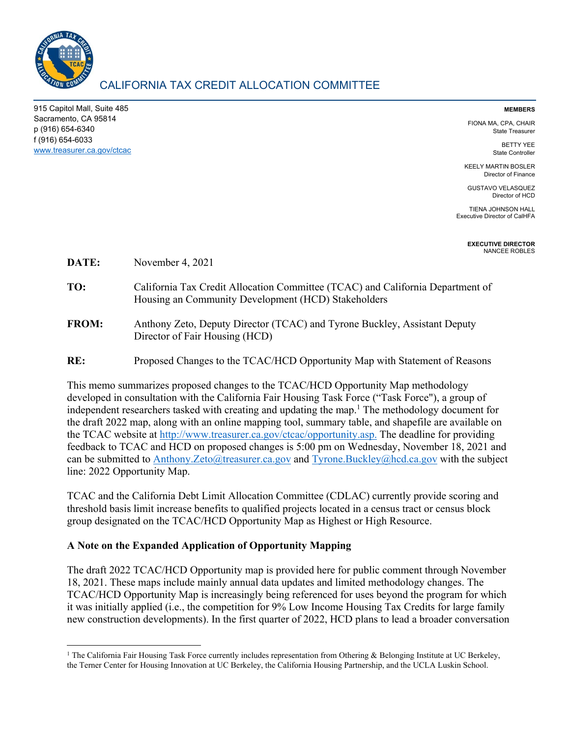

915 Capitol Mall, Suite 485 Sacramento, CA 95814 p (916) 654-6340 f (916) 654-6033 www.treasurer.ca.gov/ctcac

#### **MEMBERS**

FIONA MA, CPA, CHAIR State Treasurer

> BETTY YEE State Controller

KEELY MARTIN BOSLER Director of Finance

GUSTAVO VELASQUEZ Director of HCD

TIENA JOHNSON HALL Executive Director of CalHFA

> **EXECUTIVE DIRECTOR**  NANCEE ROBLES

**DATE:** November 4, 2021

- **TO:** California Tax Credit Allocation Committee (TCAC) and California Department of Housing an Community Development (HCD) Stakeholders
- **FROM:** Anthony Zeto, Deputy Director (TCAC) and Tyrone Buckley, Assistant Deputy Director of Fair Housing (HCD)

**RE:** Proposed Changes to the TCAC/HCD Opportunity Map with Statement of Reasons

This memo summarizes proposed changes to the TCAC/HCD Opportunity Map methodology developed in consultation with the California Fair Housing Task Force ("Task Force"), a group of independent researchers tasked with creating and updating the map.<sup>1</sup> The methodology document for the draft 2022 map, along with an online mapping tool, summary table, and shapefile are available on the TCAC website at http://www.treasurer.ca.gov/ctcac/opportunity.asp. The deadline for providing feedback to TCAC and HCD on proposed changes is 5:00 pm on Wednesday, November 18, 2021 and can be submitted to Anthony.Zeto@treasurer.ca.gov and Tyrone.Buckley@hcd.ca.gov with the subject line: 2022 Opportunity Map.

TCAC and the California Debt Limit Allocation Committee (CDLAC) currently provide scoring and threshold basis limit increase benefits to qualified projects located in a census tract or census block group designated on the TCAC/HCD Opportunity Map as Highest or High Resource.

### **A Note on the Expanded Application of Opportunity Mapping**

The draft 2022 TCAC/HCD Opportunity map is provided here for public comment through November 18, 2021. These maps include mainly annual data updates and limited methodology changes. The TCAC/HCD Opportunity Map is increasingly being referenced for uses beyond the program for which it was initially applied (i.e., the competition for 9% Low Income Housing Tax Credits for large family new construction developments). In the first quarter of 2022, HCD plans to lead a broader conversation

 <sup>1</sup> The California Fair Housing Task Force currently includes representation from Othering & Belonging Institute at UC Berkeley, the Terner Center for Housing Innovation at UC Berkeley, the California Housing Partnership, and the UCLA Luskin School.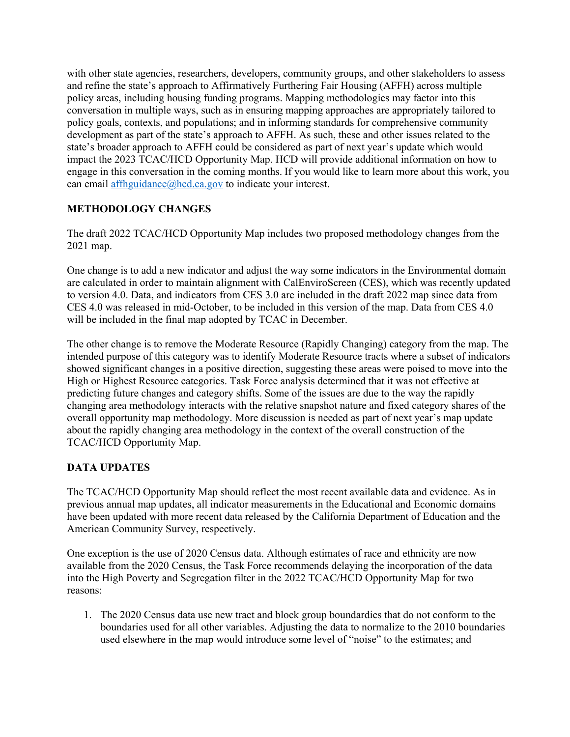with other state agencies, researchers, developers, community groups, and other stakeholders to assess and refine the state's approach to Affirmatively Furthering Fair Housing (AFFH) across multiple policy areas, including housing funding programs. Mapping methodologies may factor into this conversation in multiple ways, such as in ensuring mapping approaches are appropriately tailored to policy goals, contexts, and populations; and in informing standards for comprehensive community development as part of the state's approach to AFFH. As such, these and other issues related to the state's broader approach to AFFH could be considered as part of next year's update which would impact the 2023 TCAC/HCD Opportunity Map. HCD will provide additional information on how to engage in this conversation in the coming months. If you would like to learn more about this work, you can email affhguidance@hcd.ca.gov to indicate your interest.

# **METHODOLOGY CHANGES**

The draft 2022 TCAC/HCD Opportunity Map includes two proposed methodology changes from the 2021 map.

One change is to add a new indicator and adjust the way some indicators in the Environmental domain are calculated in order to maintain alignment with CalEnviroScreen (CES), which was recently updated to version 4.0. Data, and indicators from CES 3.0 are included in the draft 2022 map since data from CES 4.0 was released in mid-October, to be included in this version of the map. Data from CES 4.0 will be included in the final map adopted by TCAC in December.

The other change is to remove the Moderate Resource (Rapidly Changing) category from the map. The intended purpose of this category was to identify Moderate Resource tracts where a subset of indicators showed significant changes in a positive direction, suggesting these areas were poised to move into the High or Highest Resource categories. Task Force analysis determined that it was not effective at predicting future changes and category shifts. Some of the issues are due to the way the rapidly changing area methodology interacts with the relative snapshot nature and fixed category shares of the overall opportunity map methodology. More discussion is needed as part of next year's map update about the rapidly changing area methodology in the context of the overall construction of the TCAC/HCD Opportunity Map.

# **DATA UPDATES**

The TCAC/HCD Opportunity Map should reflect the most recent available data and evidence. As in previous annual map updates, all indicator measurements in the Educational and Economic domains have been updated with more recent data released by the California Department of Education and the American Community Survey, respectively.

One exception is the use of 2020 Census data. Although estimates of race and ethnicity are now available from the 2020 Census, the Task Force recommends delaying the incorporation of the data into the High Poverty and Segregation filter in the 2022 TCAC/HCD Opportunity Map for two reasons:

1. The 2020 Census data use new tract and block group boundardies that do not conform to the boundaries used for all other variables. Adjusting the data to normalize to the 2010 boundaries used elsewhere in the map would introduce some level of "noise" to the estimates; and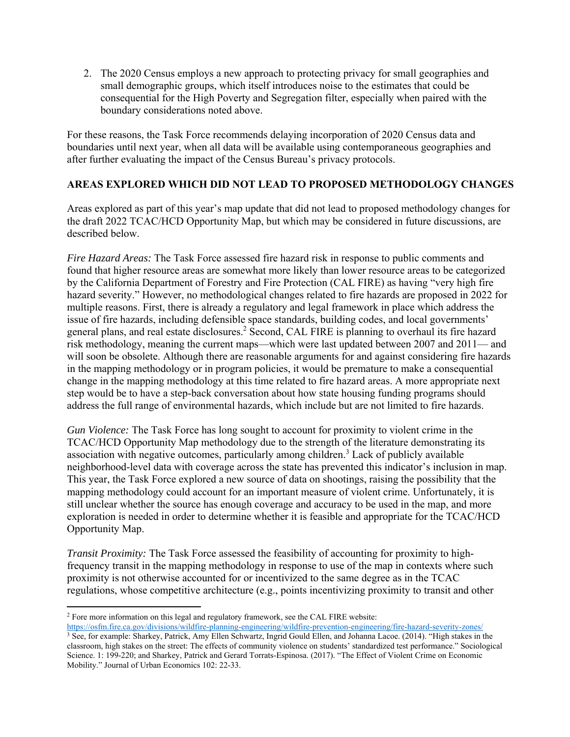2. The 2020 Census employs a new approach to protecting privacy for small geographies and small demographic groups, which itself introduces noise to the estimates that could be consequential for the High Poverty and Segregation filter, especially when paired with the boundary considerations noted above.

For these reasons, the Task Force recommends delaying incorporation of 2020 Census data and boundaries until next year, when all data will be available using contemporaneous geographies and after further evaluating the impact of the Census Bureau's privacy protocols.

## **AREAS EXPLORED WHICH DID NOT LEAD TO PROPOSED METHODOLOGY CHANGES**

Areas explored as part of this year's map update that did not lead to proposed methodology changes for the draft 2022 TCAC/HCD Opportunity Map, but which may be considered in future discussions, are described below.

*Fire Hazard Areas:* The Task Force assessed fire hazard risk in response to public comments and found that higher resource areas are somewhat more likely than lower resource areas to be categorized by the California Department of Forestry and Fire Protection (CAL FIRE) as having "very high fire hazard severity." However, no methodological changes related to fire hazards are proposed in 2022 for multiple reasons. First, there is already a regulatory and legal framework in place which address the issue of fire hazards, including defensible space standards, building codes, and local governments' general plans, and real estate disclosures.<sup>2</sup> Second, CAL FIRE is planning to overhaul its fire hazard risk methodology, meaning the current maps—which were last updated between 2007 and 2011— and will soon be obsolete. Although there are reasonable arguments for and against considering fire hazards in the mapping methodology or in program policies, it would be premature to make a consequential change in the mapping methodology at this time related to fire hazard areas. A more appropriate next step would be to have a step-back conversation about how state housing funding programs should address the full range of environmental hazards, which include but are not limited to fire hazards.

*Gun Violence:* The Task Force has long sought to account for proximity to violent crime in the TCAC/HCD Opportunity Map methodology due to the strength of the literature demonstrating its association with negative outcomes, particularly among children. 3 Lack of publicly available neighborhood-level data with coverage across the state has prevented this indicator's inclusion in map. This year, the Task Force explored a new source of data on shootings, raising the possibility that the mapping methodology could account for an important measure of violent crime. Unfortunately, it is still unclear whether the source has enough coverage and accuracy to be used in the map, and more exploration is needed in order to determine whether it is feasible and appropriate for the TCAC/HCD Opportunity Map.

*Transit Proximity:* The Task Force assessed the feasibility of accounting for proximity to highfrequency transit in the mapping methodology in response to use of the map in contexts where such proximity is not otherwise accounted for or incentivized to the same degree as in the TCAC regulations, whose competitive architecture (e.g., points incentivizing proximity to transit and other

<sup>2</sup> Fore more information on this legal and regulatory framework, see the CAL FIRE website:<br>https://osfm.fire.ca.gov/divisions/wildfire-planning-engineering/wildfire-prevention-engineering/fire-hazard-severity-zones/

<sup>&</sup>lt;sup>3</sup> See, for example: Sharkey, Patrick, Amy Ellen Schwartz, Ingrid Gould Ellen, and Johanna Lacoe. (2014). "High stakes in the classroom, high stakes on the street: The effects of community violence on students' standardized test performance." Sociological Science. 1: 199-220; and Sharkey, Patrick and Gerard Torrats-Espinosa. (2017). "The Effect of Violent Crime on Economic Mobility." Journal of Urban Economics 102: 22-33.